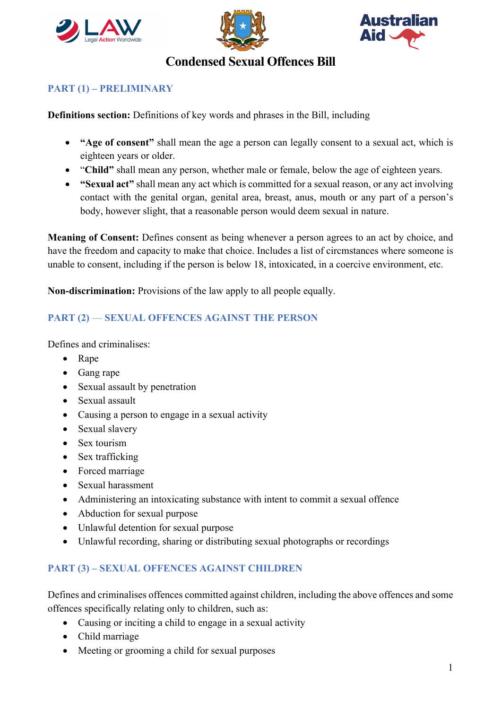





# **Condensed Sexual Offences Bill**

#### **PART (1) – PRELIMINARY**

**Definitions section:** Definitions of key words and phrases in the Bill, including

- **"Age of consent"** shall mean the age a person can legally consent to a sexual act, which is eighteen years or older.
- "**Child"** shall mean any person, whether male or female, below the age of eighteen years.
- **"Sexual act"** shall mean any act which is committed for a sexual reason, or any act involving contact with the genital organ, genital area, breast, anus, mouth or any part of a person's body, however slight, that a reasonable person would deem sexual in nature.

**Meaning of Consent:** Defines consent as being whenever a person agrees to an act by choice, and have the freedom and capacity to make that choice. Includes a list of circmstances where someone is unable to consent, including if the person is below 18, intoxicated, in a coercive environment, etc.

**Non-discrimination:** Provisions of the law apply to all people equally.

#### **PART (2)** — **SEXUAL OFFENCES AGAINST THE PERSON**

Defines and criminalises:

- Rape
- Gang rape
- Sexual assault by penetration
- Sexual assault
- Causing a person to engage in a sexual activity
- Sexual slavery
- Sex tourism
- Sex trafficking
- Forced marriage
- Sexual harassment
- Administering an intoxicating substance with intent to commit a sexual offence
- Abduction for sexual purpose
- Unlawful detention for sexual purpose
- Unlawful recording, sharing or distributing sexual photographs or recordings

#### **PART (3) – SEXUAL OFFENCES AGAINST CHILDREN**

Defines and criminalises offences committed against children, including the above offences and some offences specifically relating only to children, such as:

- Causing or inciting a child to engage in a sexual activity
- Child marriage
- Meeting or grooming a child for sexual purposes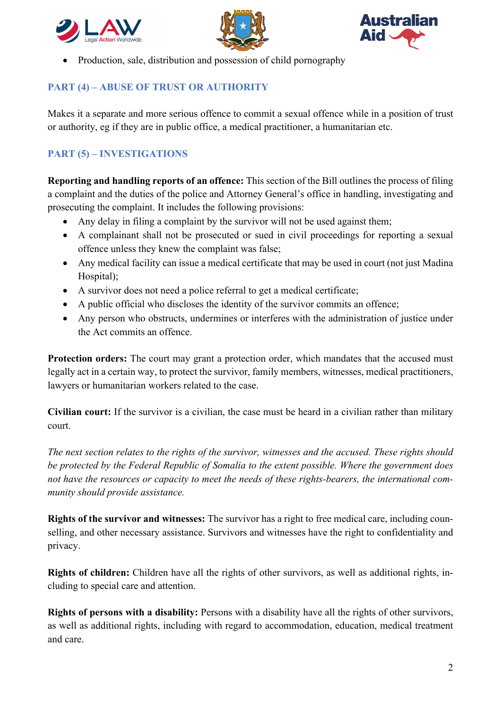





• Production, sale, distribution and possession of child pornography

## **PART (4) – ABUSE OF TRUST OR AUTHORITY**

Makes it a separate and more serious offence to commit a sexual offence while in a position of trust or authority, eg if they are in public office, a medical practitioner, a humanitarian etc.

## **PART (5) – INVESTIGATIONS**

**Reporting and handling reports of an offence:** This section of the Bill outlines the process of filing a complaint and the duties of the police and Attorney General's office in handling, investigating and prosecuting the complaint. It includes the following provisions:

- Any delay in filing a complaint by the survivor will not be used against them;
- A complainant shall not be prosecuted or sued in civil proceedings for reporting a sexual offence unless they knew the complaint was false;
- Any medical facility can issue a medical certificate that may be used in court (not just Madina) Hospital);
- A survivor does not need a police referral to get a medical certificate;
- A public official who discloses the identity of the survivor commits an offence;
- Any person who obstructs, undermines or interferes with the administration of justice under the Act commits an offence.

**Protection orders:** The court may grant a protection order, which mandates that the accused must legally act in a certain way, to protect the survivor, family members, witnesses, medical practitioners, lawyers or humanitarian workers related to the case.

**Civilian court:** If the survivor is a civilian, the case must be heard in a civilian rather than military court.

*The next section relates to the rights of the survivor, witnesses and the accused. These rights should be protected by the Federal Republic of Somalia to the extent possible. Where the government does not have the resources or capacity to meet the needs of these rights-bearers, the international community should provide assistance.*

**Rights of the survivor and witnesses:** The survivor has a right to free medical care, including counselling, and other necessary assistance. Survivors and witnesses have the right to confidentiality and privacy.

**Rights of children:** Children have all the rights of other survivors, as well as additional rights, including to special care and attention.

**Rights of persons with a disability:** Persons with a disability have all the rights of other survivors, as well as additional rights, including with regard to accommodation, education, medical treatment and care.